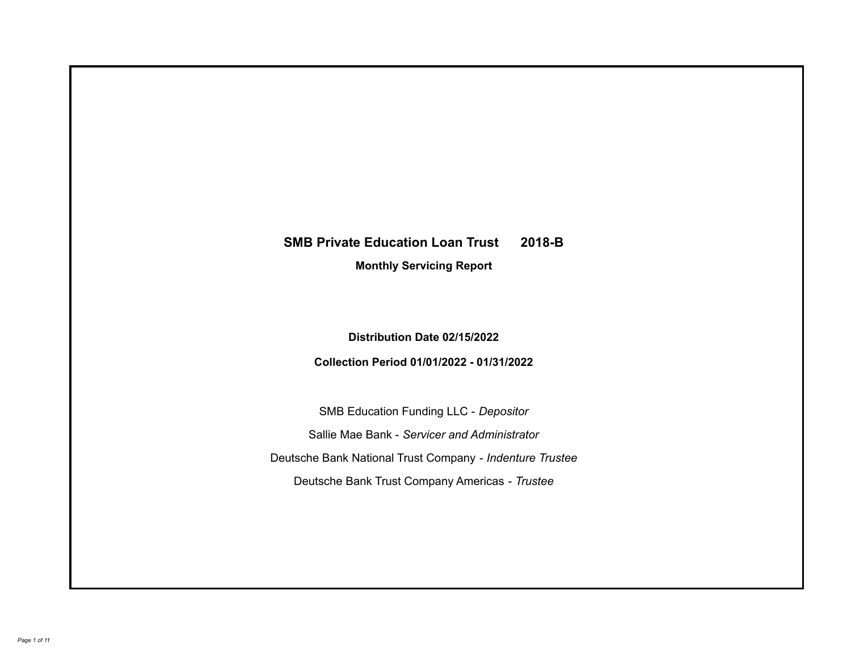# **SMB Private Education Loan Trust 2018-B**

**Monthly Servicing Report**

**Distribution Date 02/15/2022**

**Collection Period 01/01/2022 - 01/31/2022**

SMB Education Funding LLC - *Depositor* Sallie Mae Bank - *Servicer and Administrator* Deutsche Bank National Trust Company - *Indenture Trustee* Deutsche Bank Trust Company Americas - *Trustee*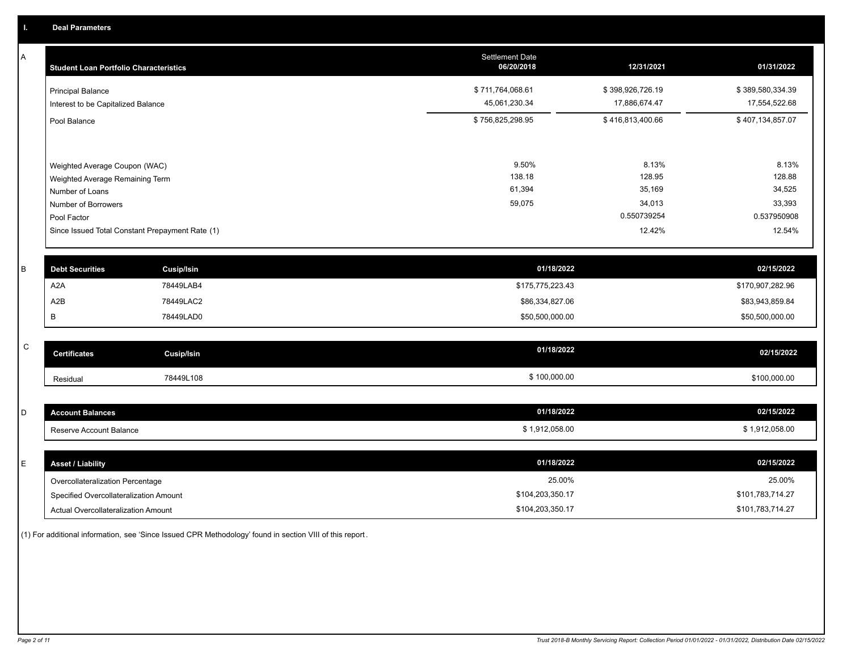A

| A | <b>Student Loan Portfolio Characteristics</b>                                       |                                                 | Settlement Date<br>06/20/2018     | 12/31/2021                        | 01/31/2022                        |
|---|-------------------------------------------------------------------------------------|-------------------------------------------------|-----------------------------------|-----------------------------------|-----------------------------------|
|   | <b>Principal Balance</b><br>Interest to be Capitalized Balance                      |                                                 | \$711,764,068.61<br>45,061,230.34 | \$398,926,726.19<br>17,886,674.47 | \$389,580,334.39<br>17,554,522.68 |
|   | Pool Balance                                                                        |                                                 | \$756,825,298.95                  | \$416,813,400.66                  | \$407,134,857.07                  |
|   | Weighted Average Coupon (WAC)<br>Weighted Average Remaining Term<br>Number of Loans |                                                 | 9.50%<br>138.18<br>61,394         | 8.13%<br>128.95<br>35,169         | 8.13%<br>128.88<br>34,525         |
|   | Number of Borrowers<br>Pool Factor                                                  |                                                 | 59,075                            | 34,013<br>0.550739254             | 33,393<br>0.537950908             |
|   |                                                                                     | Since Issued Total Constant Prepayment Rate (1) |                                   | 12.42%                            | 12.54%                            |
| B | <b>Debt Securities</b>                                                              | Cusip/Isin                                      |                                   | 01/18/2022                        | 02/15/2022                        |
|   | A <sub>2</sub> A                                                                    | 78449LAB4                                       |                                   | \$175,775,223.43                  | \$170,907,282.96                  |
|   | A2B                                                                                 | 78449LAC2                                       |                                   | \$86,334,827.06                   | \$83,943,859.84                   |
|   | В                                                                                   | 78449LAD0                                       |                                   | \$50,500,000.00                   | \$50,500,000.00                   |
|   |                                                                                     |                                                 |                                   |                                   |                                   |

| $\sim$<br>◡ | <b>Certificates</b> | Cusip/Isin | 01/18/2022 | 02/15/2022   |
|-------------|---------------------|------------|------------|--------------|
|             | Residual            | 78449L108  | 100,000.00 | \$100,000.00 |

| $\overline{\phantom{0}}$<br>ັ | ount Balances<br>--------<br>-лако | 01/18/2022     | 02/15/2022   |
|-------------------------------|------------------------------------|----------------|--------------|
|                               | Reserve Account Balance            | \$1.912.058.00 | 1.912.058.00 |

| <b>Asset / Liability</b>               | 01/18/2022       | 02/15/2022       |
|----------------------------------------|------------------|------------------|
| Overcollateralization Percentage       | 25.00%           | 25.00%           |
| Specified Overcollateralization Amount | \$104,203,350.17 | \$101,783,714.27 |
| Actual Overcollateralization Amount    | \$104,203,350.17 | \$101,783,714.27 |

(1) For additional information, see 'Since Issued CPR Methodology' found in section VIII of this report .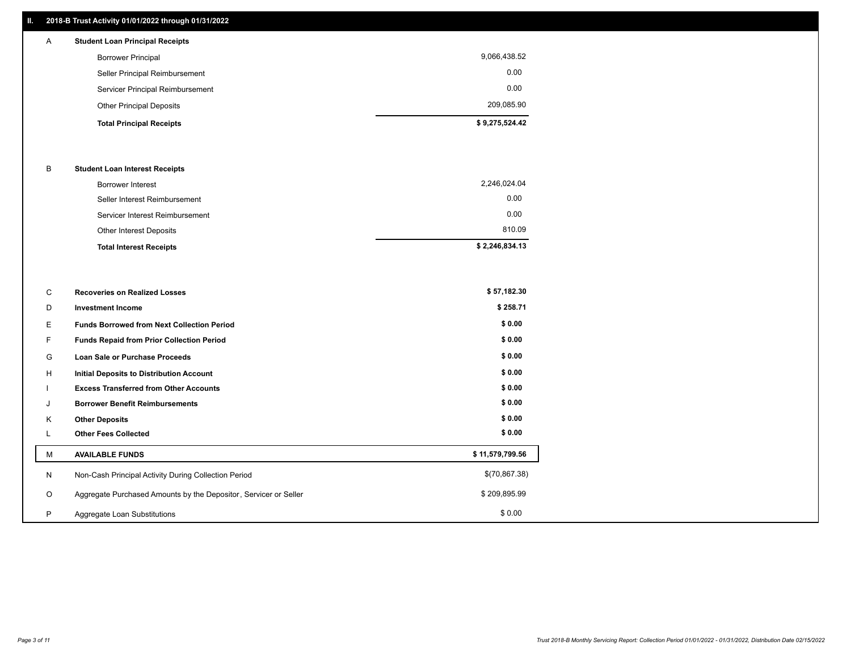#### **II. 2018-B Trust Activity 01/01/2022 through 01/31/2022**

# **Total Principal Receipts \$ 9,275,524.42**  Other Principal Deposits 209,085.90 Servicer Principal Reimbursement 0.00 Seller Principal Reimbursement 0.00 Borrower Principal 9,066,438.52 A **Student Loan Principal Receipts**

#### B **Student Loan Interest Receipts**

| <b>Total Interest Receipts</b>  | \$2,246,834.13 |
|---------------------------------|----------------|
| Other Interest Deposits         | 810.09         |
| Servicer Interest Reimbursement | 0.00           |
| Seller Interest Reimbursement   | 0.00           |
| Borrower Interest               | 2,246,024.04   |

| C       | <b>Recoveries on Realized Losses</b>                             | \$57,182.30     |
|---------|------------------------------------------------------------------|-----------------|
| D       | <b>Investment Income</b>                                         | \$258.71        |
| Е.      | <b>Funds Borrowed from Next Collection Period</b>                | \$0.00          |
| F.      | Funds Repaid from Prior Collection Period                        | \$0.00          |
| G       | Loan Sale or Purchase Proceeds                                   | \$0.00          |
| H       | Initial Deposits to Distribution Account                         | \$0.00          |
|         | <b>Excess Transferred from Other Accounts</b>                    | \$0.00          |
| J       | <b>Borrower Benefit Reimbursements</b>                           | \$0.00          |
| K       | <b>Other Deposits</b>                                            | \$0.00          |
|         | <b>Other Fees Collected</b>                                      | \$0.00          |
| М       | <b>AVAILABLE FUNDS</b>                                           | \$11,579,799.56 |
| N       | Non-Cash Principal Activity During Collection Period             | \$(70,867.38)   |
| $\circ$ | Aggregate Purchased Amounts by the Depositor, Servicer or Seller | \$209,895.99    |
| P       | Aggregate Loan Substitutions                                     | \$0.00          |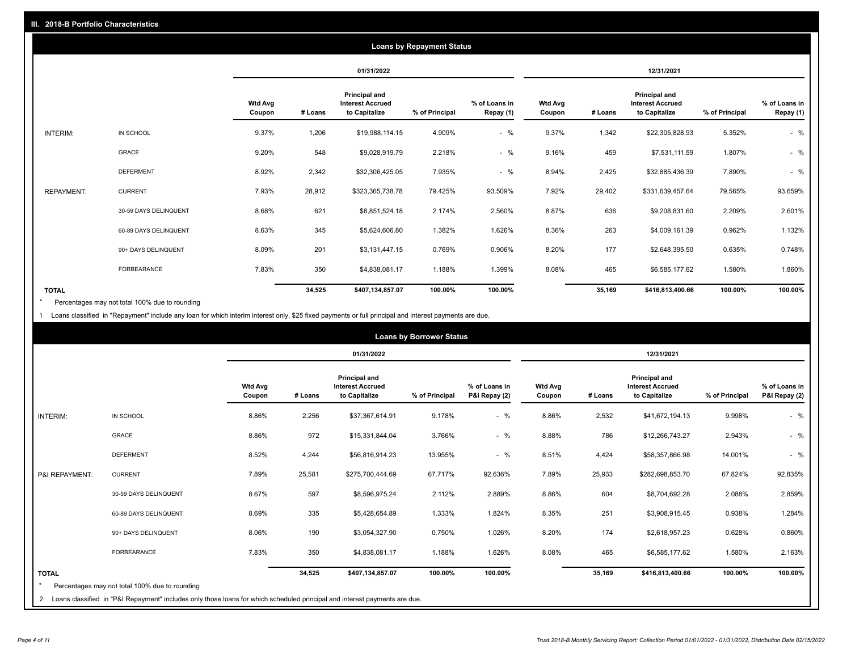|                   |                       |                          |         |                                                           | <b>Loans by Repayment Status</b> |                            |                          |         |                                                           |                |                            |
|-------------------|-----------------------|--------------------------|---------|-----------------------------------------------------------|----------------------------------|----------------------------|--------------------------|---------|-----------------------------------------------------------|----------------|----------------------------|
|                   |                       |                          |         | 01/31/2022                                                |                                  |                            |                          |         | 12/31/2021                                                |                |                            |
|                   |                       | <b>Wtd Avg</b><br>Coupon | # Loans | Principal and<br><b>Interest Accrued</b><br>to Capitalize | % of Principal                   | % of Loans in<br>Repay (1) | <b>Wtd Avg</b><br>Coupon | # Loans | Principal and<br><b>Interest Accrued</b><br>to Capitalize | % of Principal | % of Loans in<br>Repay (1) |
| INTERIM:          | IN SCHOOL             | 9.37%                    | 1,206   | \$19,988,114.15                                           | 4.909%                           | $-$ %                      | 9.37%                    | 1,342   | \$22,305,828.93                                           | 5.352%         | $-$ %                      |
|                   | GRACE                 | 9.20%                    | 548     | \$9,028,919.79                                            | 2.218%                           | $-$ %                      | 9.16%                    | 459     | \$7,531,111.59                                            | 1.807%         | $-$ %                      |
|                   | <b>DEFERMENT</b>      | 8.92%                    | 2,342   | \$32,306,425.05                                           | 7.935%                           | $-$ %                      | 8.94%                    | 2,425   | \$32,885,436.39                                           | 7.890%         | $-$ %                      |
| <b>REPAYMENT:</b> | <b>CURRENT</b>        | 7.93%                    | 28,912  | \$323,365,738.78                                          | 79.425%                          | 93.509%                    | 7.92%                    | 29,402  | \$331,639,457.64                                          | 79.565%        | 93.659%                    |
|                   | 30-59 DAYS DELINQUENT | 8.68%                    | 621     | \$8,851,524.18                                            | 2.174%                           | 2.560%                     | 8.87%                    | 636     | \$9,208,831.60                                            | 2.209%         | 2.601%                     |
|                   | 60-89 DAYS DELINQUENT | 8.63%                    | 345     | \$5,624,606.80                                            | 1.382%                           | 1.626%                     | 8.36%                    | 263     | \$4,009,161.39                                            | 0.962%         | 1.132%                     |
|                   | 90+ DAYS DELINQUENT   | 8.09%                    | 201     | \$3,131,447.15                                            | 0.769%                           | 0.906%                     | 8.20%                    | 177     | \$2,648,395.50                                            | 0.635%         | 0.748%                     |
|                   | <b>FORBEARANCE</b>    | 7.83%                    | 350     | \$4,838,081.17                                            | 1.188%                           | 1.399%                     | 8.08%                    | 465     | \$6,585,177.62                                            | 1.580%         | 1.860%                     |
| <b>TOTAL</b>      |                       |                          | 34,525  | \$407,134,857.07                                          | 100.00%                          | 100.00%                    |                          | 35,169  | \$416,813,400.66                                          | 100.00%        | 100.00%                    |

Percentages may not total 100% due to rounding \*

1 Loans classified in "Repayment" include any loan for which interim interest only, \$25 fixed payments or full principal and interest payments are due.

|                 |                                                                                                                              |                          |         |                                                           | <b>Loans by Borrower Status</b> |                                |                          |         |                                                           |                |                                |
|-----------------|------------------------------------------------------------------------------------------------------------------------------|--------------------------|---------|-----------------------------------------------------------|---------------------------------|--------------------------------|--------------------------|---------|-----------------------------------------------------------|----------------|--------------------------------|
|                 |                                                                                                                              |                          |         | 01/31/2022                                                |                                 |                                |                          |         | 12/31/2021                                                |                |                                |
|                 |                                                                                                                              | <b>Wtd Avg</b><br>Coupon | # Loans | Principal and<br><b>Interest Accrued</b><br>to Capitalize | % of Principal                  | % of Loans in<br>P&I Repay (2) | <b>Wtd Avg</b><br>Coupon | # Loans | Principal and<br><b>Interest Accrued</b><br>to Capitalize | % of Principal | % of Loans in<br>P&I Repay (2) |
| <b>INTERIM:</b> | IN SCHOOL                                                                                                                    | 8.86%                    | 2,256   | \$37,367,614.91                                           | 9.178%                          | $-$ %                          | 8.86%                    | 2,532   | \$41,672,194.13                                           | 9.998%         | $-$ %                          |
|                 | <b>GRACE</b>                                                                                                                 | 8.86%                    | 972     | \$15,331,844.04                                           | 3.766%                          | $-$ %                          | 8.88%                    | 786     | \$12,266,743.27                                           | 2.943%         | $-$ %                          |
|                 | <b>DEFERMENT</b>                                                                                                             | 8.52%                    | 4,244   | \$56,816,914.23                                           | 13.955%                         | $-$ %                          | 8.51%                    | 4,424   | \$58,357,866.98                                           | 14.001%        | $-$ %                          |
| P&I REPAYMENT:  | <b>CURRENT</b>                                                                                                               | 7.89%                    | 25,581  | \$275,700,444.69                                          | 67.717%                         | 92.636%                        | 7.89%                    | 25,933  | \$282,698,853.70                                          | 67.824%        | 92.835%                        |
|                 | 30-59 DAYS DELINQUENT                                                                                                        | 8.67%                    | 597     | \$8,596,975.24                                            | 2.112%                          | 2.889%                         | 8.86%                    | 604     | \$8,704,692.28                                            | 2.088%         | 2.859%                         |
|                 | 60-89 DAYS DELINQUENT                                                                                                        | 8.69%                    | 335     | \$5,428,654.89                                            | 1.333%                          | 1.824%                         | 8.35%                    | 251     | \$3,908,915.45                                            | 0.938%         | 1.284%                         |
|                 | 90+ DAYS DELINQUENT                                                                                                          | 8.06%                    | 190     | \$3,054,327.90                                            | 0.750%                          | 1.026%                         | 8.20%                    | 174     | \$2,618,957.23                                            | 0.628%         | 0.860%                         |
|                 | <b>FORBEARANCE</b>                                                                                                           | 7.83%                    | 350     | \$4,838,081.17                                            | 1.188%                          | 1.626%                         | 8.08%                    | 465     | \$6,585,177.62                                            | 1.580%         | 2.163%                         |
| <b>TOTAL</b>    |                                                                                                                              |                          | 34,525  | \$407,134,857.07                                          | 100.00%                         | 100.00%                        |                          | 35,169  | \$416,813,400.66                                          | 100.00%        | 100.00%                        |
|                 | Percentages may not total 100% due to rounding                                                                               |                          |         |                                                           |                                 |                                |                          |         |                                                           |                |                                |
|                 | 2 Loans classified in "P&I Repayment" includes only those loans for which scheduled principal and interest payments are due. |                          |         |                                                           |                                 |                                |                          |         |                                                           |                |                                |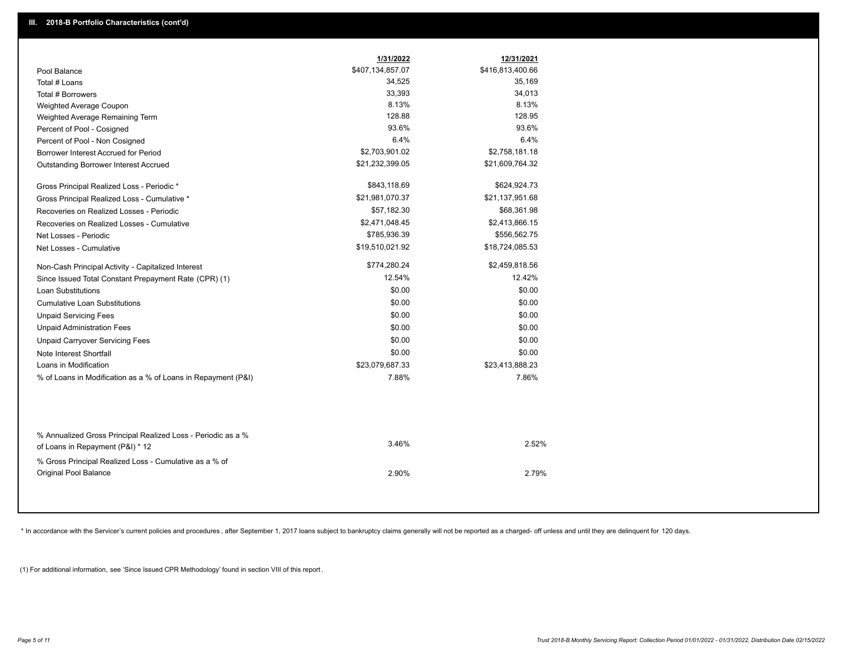|                                                                                        | 1/31/2022        | 12/31/2021       |
|----------------------------------------------------------------------------------------|------------------|------------------|
| Pool Balance                                                                           | \$407,134,857.07 | \$416,813,400.66 |
| Total # Loans                                                                          | 34,525           | 35,169           |
| Total # Borrowers                                                                      | 33,393           | 34,013           |
| Weighted Average Coupon                                                                | 8.13%            | 8.13%            |
| Weighted Average Remaining Term                                                        | 128.88           | 128.95           |
| Percent of Pool - Cosigned                                                             | 93.6%            | 93.6%            |
| Percent of Pool - Non Cosigned                                                         | 6.4%             | 6.4%             |
| Borrower Interest Accrued for Period                                                   | \$2,703,901.02   | \$2,758,181.18   |
| Outstanding Borrower Interest Accrued                                                  | \$21,232,399.05  | \$21,609,764.32  |
| Gross Principal Realized Loss - Periodic *                                             | \$843,118.69     | \$624,924.73     |
| Gross Principal Realized Loss - Cumulative *                                           | \$21,981,070.37  | \$21,137,951.68  |
| Recoveries on Realized Losses - Periodic                                               | \$57,182.30      | \$68,361.98      |
| Recoveries on Realized Losses - Cumulative                                             | \$2,471,048.45   | \$2,413,866.15   |
| Net Losses - Periodic                                                                  | \$785,936.39     | \$556,562.75     |
| Net Losses - Cumulative                                                                | \$19,510,021.92  | \$18,724,085.53  |
| Non-Cash Principal Activity - Capitalized Interest                                     | \$774,280.24     | \$2,459,818.56   |
| Since Issued Total Constant Prepayment Rate (CPR) (1)                                  | 12.54%           | 12.42%           |
| Loan Substitutions                                                                     | \$0.00           | \$0.00           |
| <b>Cumulative Loan Substitutions</b>                                                   | \$0.00           | \$0.00           |
| <b>Unpaid Servicing Fees</b>                                                           | \$0.00           | \$0.00           |
| <b>Unpaid Administration Fees</b>                                                      | \$0.00           | \$0.00           |
| <b>Unpaid Carryover Servicing Fees</b>                                                 | \$0.00           | \$0.00           |
| Note Interest Shortfall                                                                | \$0.00           | \$0.00           |
| Loans in Modification                                                                  | \$23,079,687.33  | \$23,413,888.23  |
| % of Loans in Modification as a % of Loans in Repayment (P&I)                          | 7.88%            | 7.86%            |
| % Annualized Gross Principal Realized Loss - Periodic as a %                           |                  |                  |
| of Loans in Repayment (P&I) * 12                                                       | 3.46%            | 2.52%            |
| % Gross Principal Realized Loss - Cumulative as a % of<br><b>Original Pool Balance</b> | 2.90%            | 2.79%            |

\* In accordance with the Servicer's current policies and procedures, after September 1, 2017 loans subject to bankruptcy claims generally will not be reported as a charged- off unless and until they are delinquent for 120

(1) For additional information, see 'Since Issued CPR Methodology' found in section VIII of this report .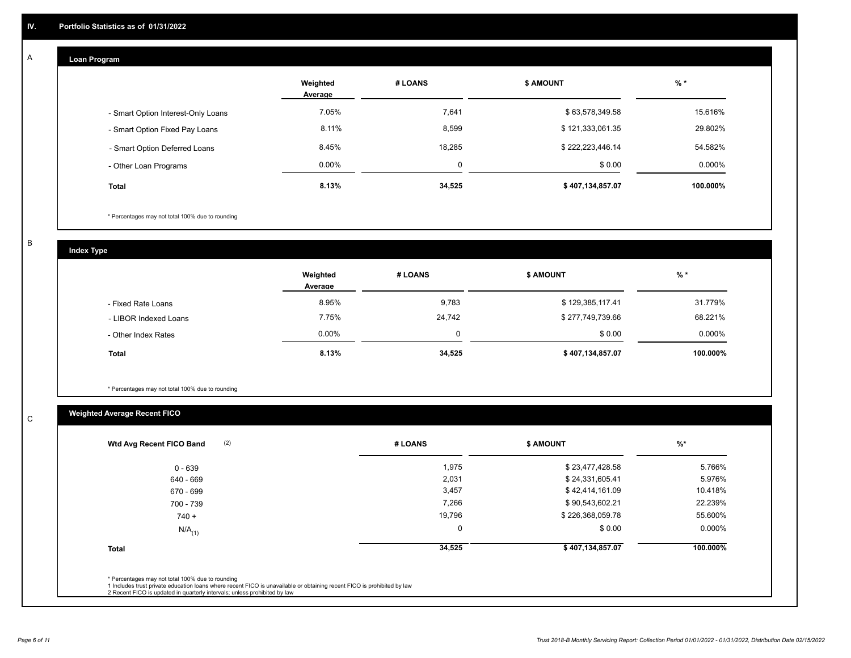## **Loan Program**

A

|                                    | Weighted<br>Average | # LOANS  | <b>\$ AMOUNT</b> | $%$ *    |
|------------------------------------|---------------------|----------|------------------|----------|
| - Smart Option Interest-Only Loans | 7.05%               | 7,641    | \$63,578,349.58  | 15.616%  |
| - Smart Option Fixed Pay Loans     | 8.11%               | 8,599    | \$121,333,061.35 | 29.802%  |
| - Smart Option Deferred Loans      | 8.45%               | 18,285   | \$222,223,446.14 | 54.582%  |
| - Other Loan Programs              | $0.00\%$            | $\Omega$ | \$0.00           | 0.000%   |
| <b>Total</b>                       | 8.13%               | 34,525   | \$407,134,857.07 | 100.000% |

\* Percentages may not total 100% due to rounding

B

C

**Index Type**

|                       | Weighted<br>Average | # LOANS | <b>\$ AMOUNT</b> | % *      |
|-----------------------|---------------------|---------|------------------|----------|
| - Fixed Rate Loans    | 8.95%               | 9,783   | \$129,385,117.41 | 31.779%  |
| - LIBOR Indexed Loans | 7.75%               | 24,742  | \$277,749,739.66 | 68.221%  |
| - Other Index Rates   | $0.00\%$            | 0       | \$0.00           | 0.000%   |
| <b>Total</b>          | 8.13%               | 34,525  | \$407,134,857.07 | 100.000% |

\* Percentages may not total 100% due to rounding

# **Weighted Average Recent FICO**

| (2)<br>Wtd Avg Recent FICO Band | # LOANS     | <b>\$ AMOUNT</b> | $%$ *    |
|---------------------------------|-------------|------------------|----------|
| $0 - 639$                       | 1,975       | \$23,477,428.58  | 5.766%   |
| 640 - 669                       | 2,031       | \$24,331,605.41  | 5.976%   |
| 670 - 699                       | 3,457       | \$42,414,161.09  | 10.418%  |
| 700 - 739                       | 7,266       | \$90,543,602.21  | 22.239%  |
| $740 +$                         | 19,796      | \$226,368,059.78 | 55.600%  |
| $N/A$ <sub>(1)</sub>            | $\mathbf 0$ | \$0.00           | 0.000%   |
| <b>Total</b>                    | 34,525      | \$407,134,857.07 | 100.000% |
|                                 |             |                  |          |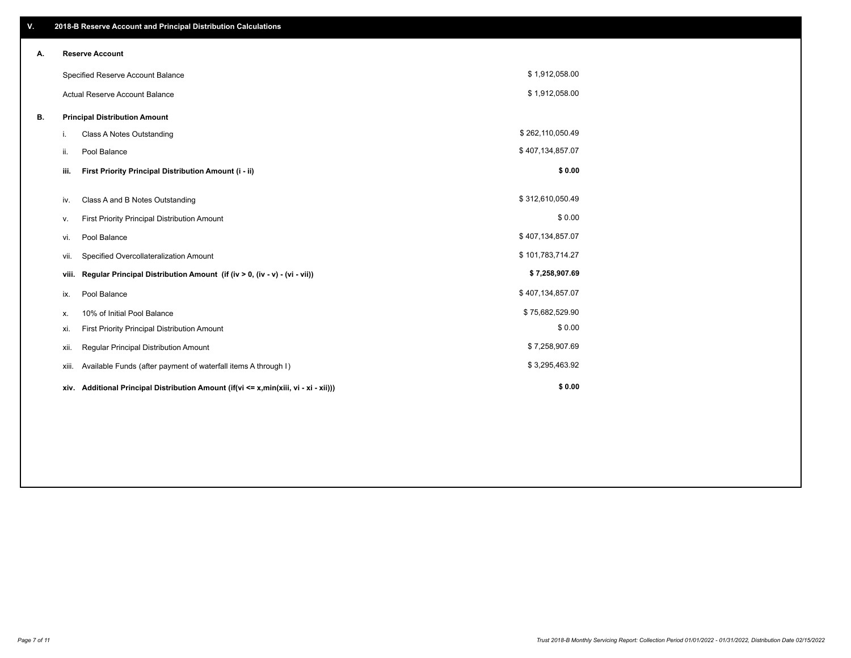| V. |                                       | 2018-B Reserve Account and Principal Distribution Calculations                  |                  |  |
|----|---------------------------------------|---------------------------------------------------------------------------------|------------------|--|
| А. |                                       | <b>Reserve Account</b>                                                          |                  |  |
|    |                                       | Specified Reserve Account Balance                                               | \$1,912,058.00   |  |
|    | <b>Actual Reserve Account Balance</b> |                                                                                 | \$1,912,058.00   |  |
| В. |                                       | <b>Principal Distribution Amount</b>                                            |                  |  |
|    | i.                                    | Class A Notes Outstanding                                                       | \$262,110,050.49 |  |
|    | ii.                                   | Pool Balance                                                                    | \$407,134,857.07 |  |
|    | iii.                                  | First Priority Principal Distribution Amount (i - ii)                           | \$0.00           |  |
|    | iv.                                   | Class A and B Notes Outstanding                                                 | \$312,610,050.49 |  |
|    | v.                                    | First Priority Principal Distribution Amount                                    | \$0.00           |  |
|    | vi.                                   | Pool Balance                                                                    | \$407,134,857.07 |  |
|    | vii.                                  | Specified Overcollateralization Amount                                          | \$101,783,714.27 |  |
|    | viii.                                 | Regular Principal Distribution Amount (if (iv > 0, (iv - v) - (vi - vii))       | \$7,258,907.69   |  |
|    | ix.                                   | Pool Balance                                                                    | \$407,134,857.07 |  |
|    | х.                                    | 10% of Initial Pool Balance                                                     | \$75,682,529.90  |  |
|    | xi.                                   | First Priority Principal Distribution Amount                                    | \$0.00           |  |
|    | xii.                                  | Regular Principal Distribution Amount                                           | \$7,258,907.69   |  |
|    | xiii.                                 | Available Funds (after payment of waterfall items A through I)                  | \$3,295,463.92   |  |
|    | xiv.                                  | Additional Principal Distribution Amount (if(vi <= x,min(xiii, vi - xi - xii))) | \$0.00           |  |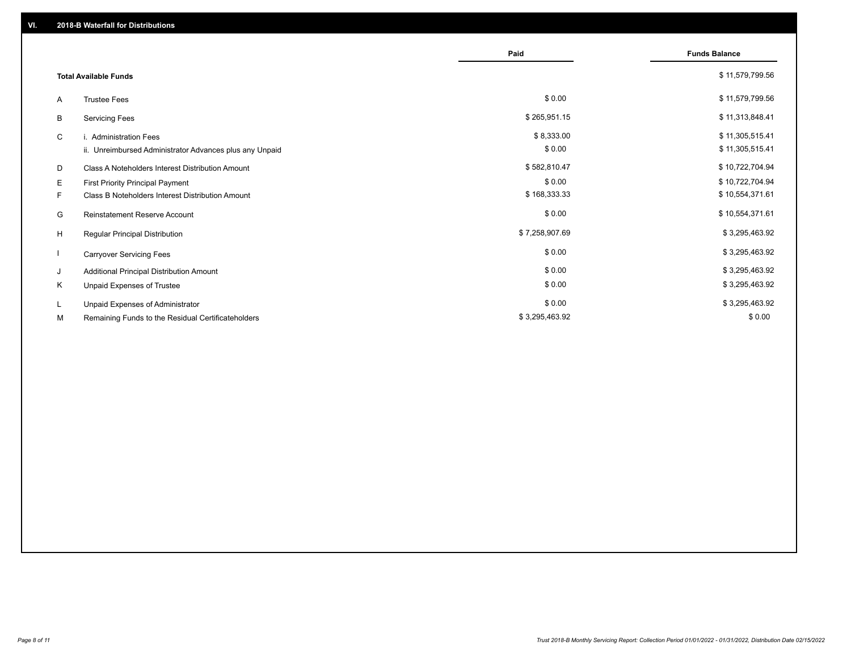|                              |                                                         | Paid           | <b>Funds Balance</b> |
|------------------------------|---------------------------------------------------------|----------------|----------------------|
| <b>Total Available Funds</b> |                                                         |                | \$11,579,799.56      |
| A                            | <b>Trustee Fees</b>                                     | \$0.00         | \$11,579,799.56      |
| B                            | <b>Servicing Fees</b>                                   | \$265,951.15   | \$11,313,848.41      |
| C                            | i. Administration Fees                                  | \$8,333.00     | \$11,305,515.41      |
|                              | ii. Unreimbursed Administrator Advances plus any Unpaid | \$0.00         | \$11,305,515.41      |
| D                            | Class A Noteholders Interest Distribution Amount        | \$582,810.47   | \$10,722,704.94      |
| E.                           | First Priority Principal Payment                        | \$0.00         | \$10,722,704.94      |
| F.                           | Class B Noteholders Interest Distribution Amount        | \$168,333.33   | \$10,554,371.61      |
| G                            | <b>Reinstatement Reserve Account</b>                    | \$0.00         | \$10,554,371.61      |
| H                            | Regular Principal Distribution                          | \$7,258,907.69 | \$3,295,463.92       |
|                              | <b>Carryover Servicing Fees</b>                         | \$0.00         | \$3,295,463.92       |
| J                            | Additional Principal Distribution Amount                | \$0.00         | \$3,295,463.92       |
| Κ                            | Unpaid Expenses of Trustee                              | \$0.00         | \$3,295,463.92       |
| L                            | Unpaid Expenses of Administrator                        | \$0.00         | \$3,295,463.92       |
| М                            | Remaining Funds to the Residual Certificateholders      | \$3,295,463.92 | \$0.00               |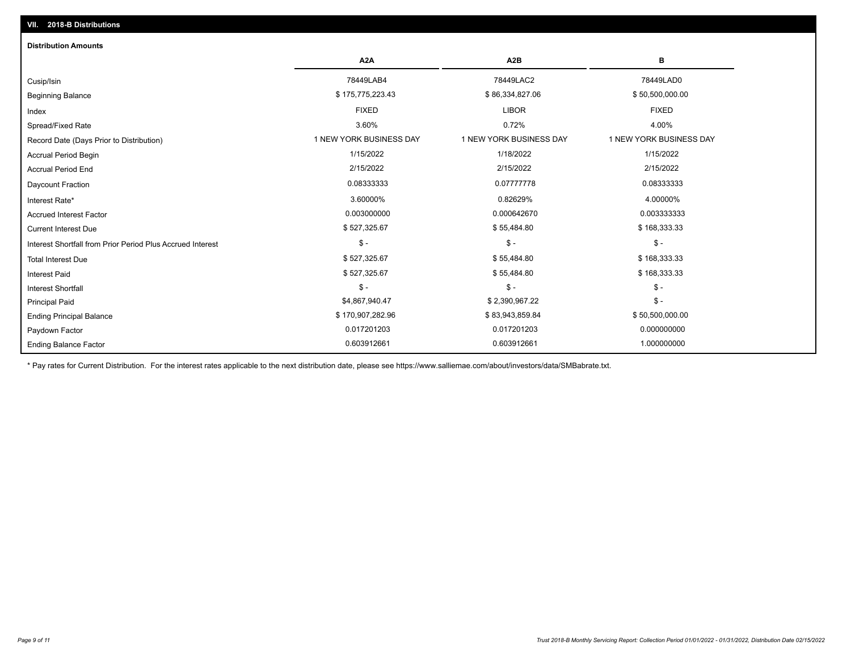| <b>Distribution Amounts</b>                                |                         |                         |                         |
|------------------------------------------------------------|-------------------------|-------------------------|-------------------------|
|                                                            | A <sub>2</sub> A        | A <sub>2</sub> B        | в                       |
| Cusip/Isin                                                 | 78449LAB4               | 78449LAC2               | 78449LAD0               |
| <b>Beginning Balance</b>                                   | \$175,775,223.43        | \$86,334,827.06         | \$50,500,000.00         |
| Index                                                      | <b>FIXED</b>            | <b>LIBOR</b>            | <b>FIXED</b>            |
| Spread/Fixed Rate                                          | 3.60%                   | 0.72%                   | 4.00%                   |
| Record Date (Days Prior to Distribution)                   | 1 NEW YORK BUSINESS DAY | 1 NEW YORK BUSINESS DAY | 1 NEW YORK BUSINESS DAY |
| <b>Accrual Period Begin</b>                                | 1/15/2022               | 1/18/2022               | 1/15/2022               |
| <b>Accrual Period End</b>                                  | 2/15/2022               | 2/15/2022               | 2/15/2022               |
| Daycount Fraction                                          | 0.08333333              | 0.07777778              | 0.08333333              |
| Interest Rate*                                             | 3.60000%                | 0.82629%                | 4.00000%                |
| <b>Accrued Interest Factor</b>                             | 0.003000000             | 0.000642670             | 0.003333333             |
| <b>Current Interest Due</b>                                | \$527,325.67            | \$55,484.80             | \$168,333.33            |
| Interest Shortfall from Prior Period Plus Accrued Interest | $\mathsf{\$}$ -         | $$ -$                   | $\mathsf{\$}$ -         |
| <b>Total Interest Due</b>                                  | \$527,325.67            | \$55,484.80             | \$168,333.33            |
| <b>Interest Paid</b>                                       | \$527,325.67            | \$55,484.80             | \$168,333.33            |
| <b>Interest Shortfall</b>                                  | $\mathsf{\$}$ -         | $$ -$                   | $$ -$                   |
| <b>Principal Paid</b>                                      | \$4,867,940.47          | \$2,390,967.22          | $$ -$                   |
| <b>Ending Principal Balance</b>                            | \$170,907,282.96        | \$83,943,859.84         | \$50,500,000.00         |
| Paydown Factor                                             | 0.017201203             | 0.017201203             | 0.000000000             |
| <b>Ending Balance Factor</b>                               | 0.603912661             | 0.603912661             | 1.000000000             |

\* Pay rates for Current Distribution. For the interest rates applicable to the next distribution date, please see https://www.salliemae.com/about/investors/data/SMBabrate.txt.

**VII. 2018-B Distributions**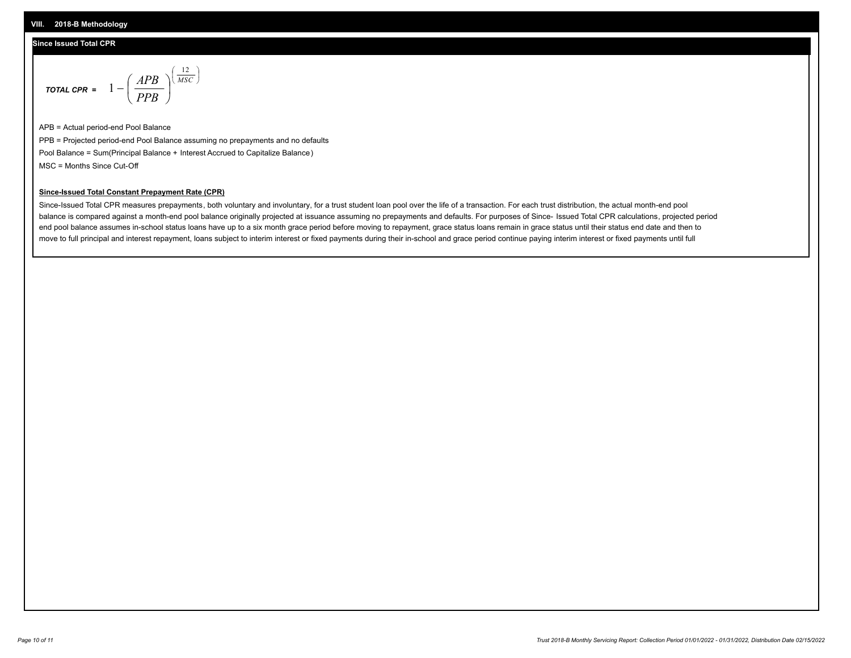#### **Since Issued Total CPR**

$$
\text{total cPR} = 1 - \left(\frac{APB}{PPB}\right)^{\left(\frac{12}{MSC}\right)}
$$

APB = Actual period-end Pool Balance PPB = Projected period-end Pool Balance assuming no prepayments and no defaults Pool Balance = Sum(Principal Balance + Interest Accrued to Capitalize Balance) MSC = Months Since Cut-Off

I J Ι

#### **Since-Issued Total Constant Prepayment Rate (CPR)**

Since-Issued Total CPR measures prepayments, both voluntary and involuntary, for a trust student loan pool over the life of a transaction. For each trust distribution, the actual month-end pool balance is compared against a month-end pool balance originally projected at issuance assuming no prepayments and defaults. For purposes of Since- Issued Total CPR calculations, projected period end pool balance assumes in-school status loans have up to a six month grace period before moving to repayment, grace status loans remain in grace status until their status end date and then to move to full principal and interest repayment, loans subject to interim interest or fixed payments during their in-school and grace period continue paying interim interest or fixed payments until full